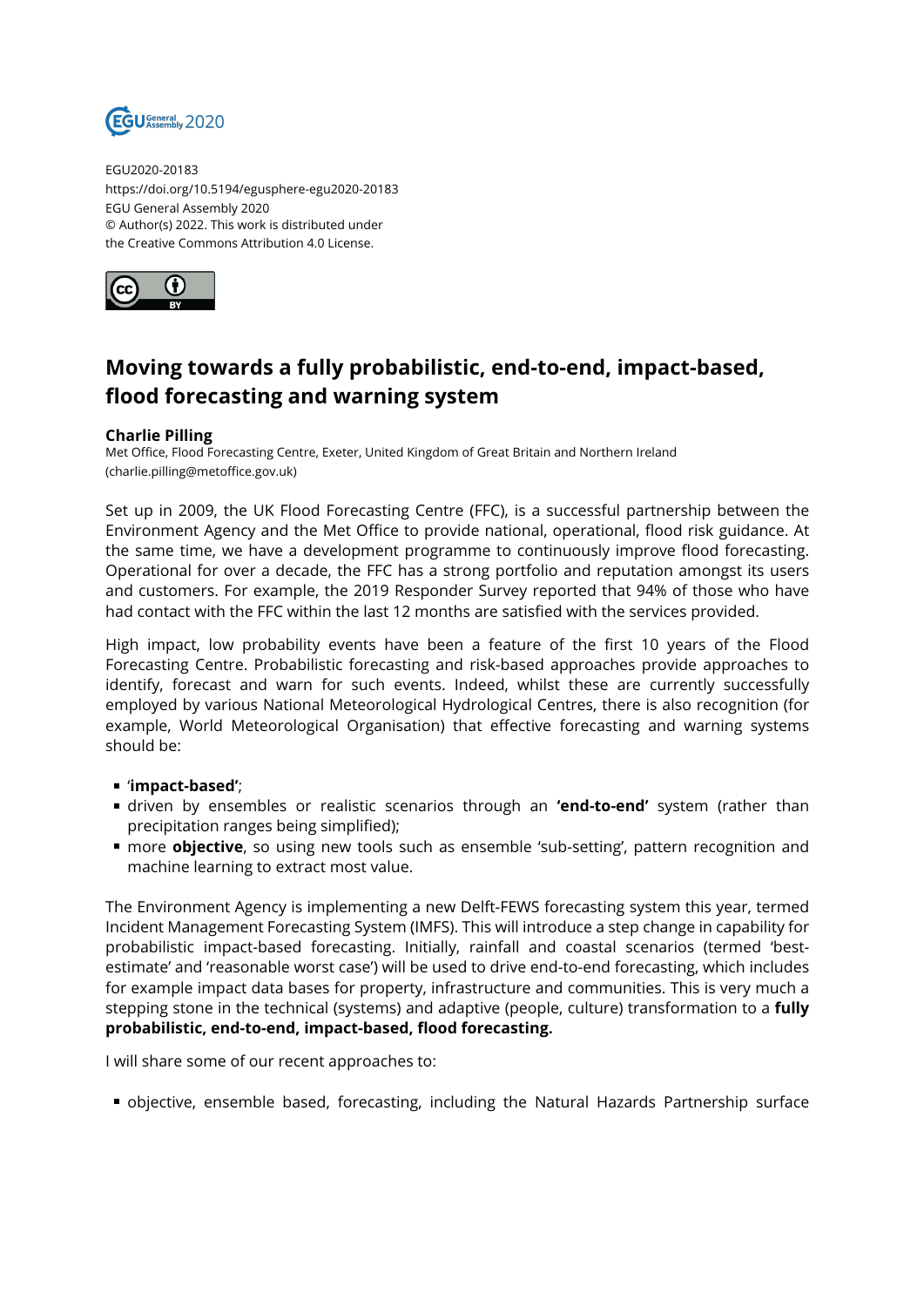

EGU2020-20183 https://doi.org/10.5194/egusphere-egu2020-20183 EGU General Assembly 2020 © Author(s) 2022. This work is distributed under the Creative Commons Attribution 4.0 License.



## **Moving towards a fully probabilistic, end-to-end, impact-based, flood forecasting and warning system**

## **Charlie Pilling**

Met Office, Flood Forecasting Centre, Exeter, United Kingdom of Great Britain and Northern Ireland (charlie.pilling@metoffice.gov.uk)

Set up in 2009, the UK Flood Forecasting Centre (FFC), is a successful partnership between the Environment Agency and the Met Office to provide national, operational, flood risk guidance. At the same time, we have a development programme to continuously improve flood forecasting. Operational for over a decade, the FFC has a strong portfolio and reputation amongst its users and customers. For example, the 2019 Responder Survey reported that 94% of those who have had contact with the FFC within the last 12 months are satisfied with the services provided.

High impact, low probability events have been a feature of the first 10 years of the Flood Forecasting Centre. Probabilistic forecasting and risk-based approaches provide approaches to identify, forecast and warn for such events. Indeed, whilst these are currently successfully employed by various National Meteorological Hydrological Centres, there is also recognition (for example, World Meteorological Organisation) that effective forecasting and warning systems should be:

- '**impact-based'**;
- driven by ensembles or realistic scenarios through an **'end-to-end'** system (rather than precipitation ranges being simplified);
- more **objective**, so using new tools such as ensemble 'sub-setting', pattern recognition and machine learning to extract most value.

The Environment Agency is implementing a new Delft-FEWS forecasting system this year, termed Incident Management Forecasting System (IMFS). This will introduce a step change in capability for probabilistic impact-based forecasting. Initially, rainfall and coastal scenarios (termed 'bestestimate' and 'reasonable worst case') will be used to drive end-to-end forecasting, which includes for example impact data bases for property, infrastructure and communities. This is very much a stepping stone in the technical (systems) and adaptive (people, culture) transformation to a **fully probabilistic, end-to-end, impact-based, flood forecasting.** 

I will share some of our recent approaches to:

objective, ensemble based, forecasting, including the Natural Hazards Partnership surface